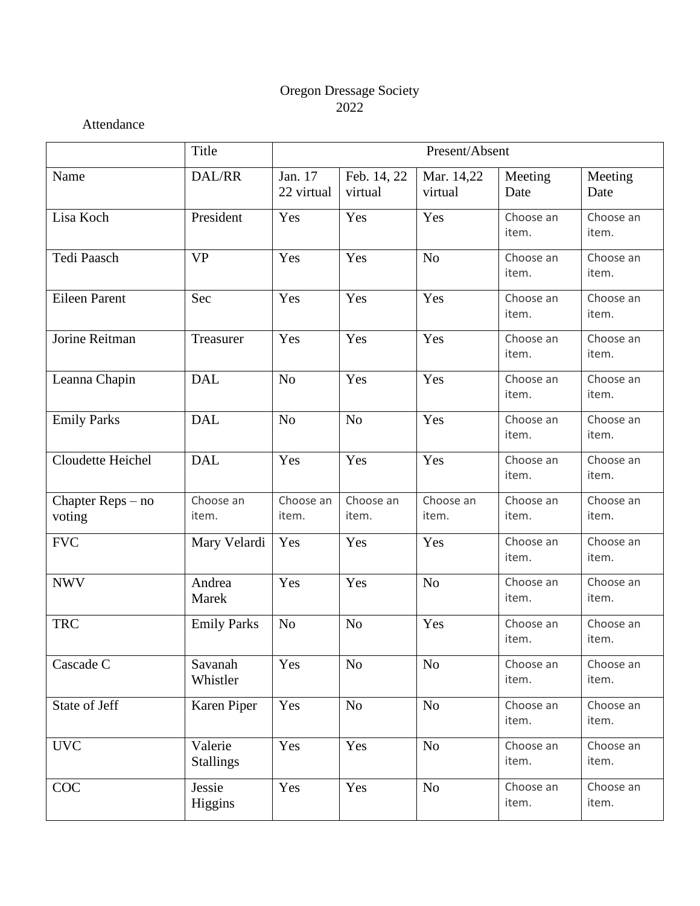#### Oregon Dressage Society 2022

Attendance

|                               | Title                       | Present/Absent        |                        |                       |                    |                    |  |
|-------------------------------|-----------------------------|-----------------------|------------------------|-----------------------|--------------------|--------------------|--|
| Name                          | DAL/RR                      | Jan. 17<br>22 virtual | Feb. 14, 22<br>virtual | Mar. 14,22<br>virtual | Meeting<br>Date    | Meeting<br>Date    |  |
| Lisa Koch                     | President                   | Yes                   | Yes                    | Yes                   | Choose an<br>item. | Choose an<br>item. |  |
| Tedi Paasch                   | <b>VP</b>                   | Yes                   | Yes                    | N <sub>o</sub>        | Choose an<br>item. | Choose an<br>item. |  |
| <b>Eileen Parent</b>          | Sec                         | Yes                   | Yes                    | Yes                   | Choose an<br>item. | Choose an<br>item. |  |
| Jorine Reitman                | Treasurer                   | Yes                   | Yes                    | Yes                   | Choose an<br>item. | Choose an<br>item. |  |
| Leanna Chapin                 | <b>DAL</b>                  | N <sub>o</sub>        | Yes                    | Yes                   | Choose an<br>item. | Choose an<br>item. |  |
| <b>Emily Parks</b>            | <b>DAL</b>                  | N <sub>o</sub>        | N <sub>o</sub>         | Yes                   | Choose an<br>item. | Choose an<br>item. |  |
| Cloudette Heichel             | <b>DAL</b>                  | Yes                   | Yes                    | Yes                   | Choose an<br>item. | Choose an<br>item. |  |
| Chapter $Reps - no$<br>voting | Choose an<br>item.          | Choose an<br>item.    | Choose an<br>item.     | Choose an<br>item.    | Choose an<br>item. | Choose an<br>item. |  |
| <b>FVC</b>                    | Mary Velardi                | Yes                   | Yes                    | Yes                   | Choose an<br>item. | Choose an<br>item. |  |
| <b>NWV</b>                    | Andrea<br>Marek             | Yes                   | Yes                    | N <sub>o</sub>        | Choose an<br>item. | Choose an<br>item. |  |
| <b>TRC</b>                    | <b>Emily Parks</b>          | N <sub>o</sub>        | N <sub>o</sub>         | Yes                   | Choose an<br>item. | Choose an<br>item. |  |
| Cascade C                     | Savanah<br>Whistler         | Yes                   | $\rm No$               | No                    | Choose an<br>item. | Choose an<br>item. |  |
| State of Jeff                 | Karen Piper                 | Yes                   | N <sub>o</sub>         | No                    | Choose an<br>item. | Choose an<br>item. |  |
| <b>UVC</b>                    | Valerie<br><b>Stallings</b> | Yes                   | Yes                    | No                    | Choose an<br>item. | Choose an<br>item. |  |
| COC                           | Jessie<br>Higgins           | Yes                   | Yes                    | $\rm No$              | Choose an<br>item. | Choose an<br>item. |  |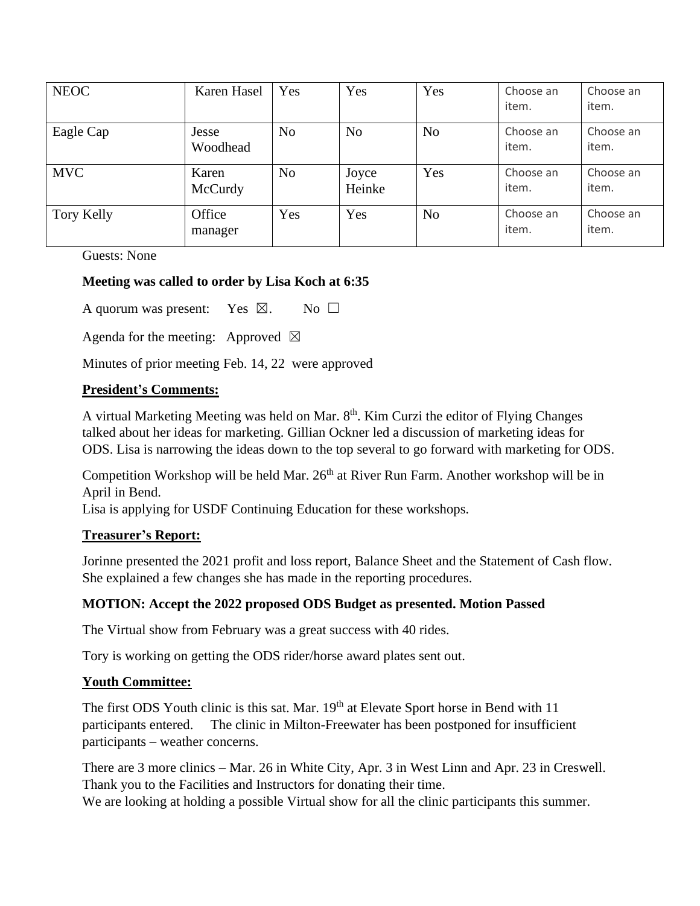| <b>NEOC</b> | Karen Hasel       | Yes            | Yes             | Yes            | Choose an<br>item. | Choose an<br>item. |
|-------------|-------------------|----------------|-----------------|----------------|--------------------|--------------------|
| Eagle Cap   | Jesse<br>Woodhead | N <sub>o</sub> | N <sub>o</sub>  | No             | Choose an<br>item. | Choose an<br>item. |
| <b>MVC</b>  | Karen<br>McCurdy  | N <sub>o</sub> | Joyce<br>Heinke | Yes            | Choose an<br>item. | Choose an<br>item. |
| Tory Kelly  | Office<br>manager | Yes            | Yes             | N <sub>o</sub> | Choose an<br>item. | Choose an<br>item. |

Guests: None

## **Meeting was called to order by Lisa Koch at 6:35**

A quorum was present: Yes  $\boxtimes$ . No  $\square$ 

Agenda for the meeting: Approved  $\boxtimes$ 

Minutes of prior meeting Feb. 14, 22 were approved

#### **President's Comments:**

A virtual Marketing Meeting was held on Mar. 8<sup>th</sup>. Kim Curzi the editor of Flying Changes talked about her ideas for marketing. Gillian Ockner led a discussion of marketing ideas for ODS. Lisa is narrowing the ideas down to the top several to go forward with marketing for ODS.

Competition Workshop will be held Mar.  $26<sup>th</sup>$  at River Run Farm. Another workshop will be in April in Bend.

Lisa is applying for USDF Continuing Education for these workshops.

## **Treasurer's Report:**

Jorinne presented the 2021 profit and loss report, Balance Sheet and the Statement of Cash flow. She explained a few changes she has made in the reporting procedures.

## **MOTION: Accept the 2022 proposed ODS Budget as presented. Motion Passed**

The Virtual show from February was a great success with 40 rides.

Tory is working on getting the ODS rider/horse award plates sent out.

#### **Youth Committee:**

The first ODS Youth clinic is this sat. Mar. 19<sup>th</sup> at Elevate Sport horse in Bend with 11 participants entered. The clinic in Milton-Freewater has been postponed for insufficient participants – weather concerns.

There are 3 more clinics – Mar. 26 in White City, Apr. 3 in West Linn and Apr. 23 in Creswell. Thank you to the Facilities and Instructors for donating their time.

We are looking at holding a possible Virtual show for all the clinic participants this summer.